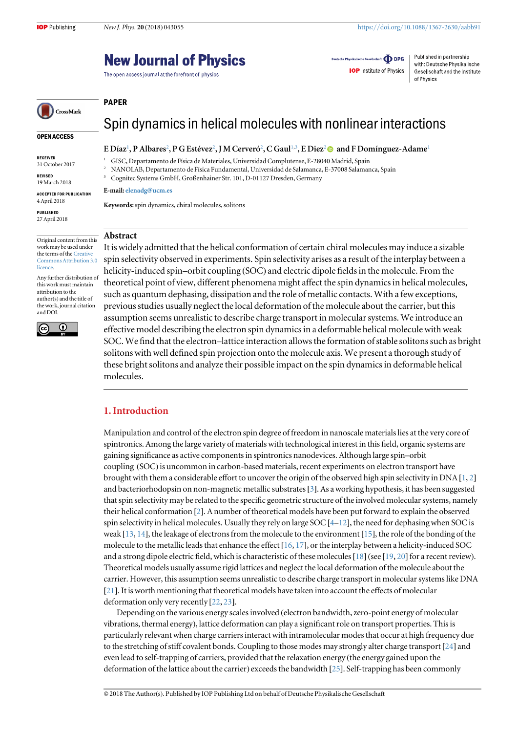of Physics

Deutsche Physikalische Gesellschaft **ODPG** 

**IOP** Institute of Physics

Published in partnership

with: Deutsche Physikalische

Gesellschaft and the Institute

# **New Journal of Physics**

The open access journal at the forefront of physics

CrossMark

#### OPEN ACCESS

RECEIVED

31 October 2017

REVISED 19 March 2018

ACCEPTED FOR PUBLICATION 4 April 2018

PUBLISHED 27 April 2018

[licence.](http://creativecommons.org/licenses/by/3.0)

Original content from this work may be used under the terms of the [Creative](http://creativecommons.org/licenses/by/3.0) [Commons Attribution 3.0](http://creativecommons.org/licenses/by/3.0)

Any further distribution of this work must maintain attribution to the author(s) and the title of the work, journal citation and DOI.



Spin dynamics in helical molecules with nonlinear interactions

### E Díaz<sup>1</sup>, P Albares<sup>2</sup>, P G Estévez<sup>2</sup>, J M Cerveró<sup>2</sup>, C Gaul<sup>1,3</sup>, E Diez<sup>2</sup> @ and F Domínguez-Adame<sup>1</sup>

- <sup>1</sup> GISC, Departamento de Física de Materiales, Universidad Complutense, E-28040 Madrid, Spain
- <sup>2</sup> NANOLAB, Departamento de Física Fundamental, Universidad de Salamanca, E-37008 Salamanca, Spain
- <sup>3</sup> Cognitec Systems GmbH, Großenhainer Str. 101, D-01127 Dresden, Germany

E-mail: [elenadg@ucm.es](mailto:elenadg@ucm.es)

Keywords: spin dynamics, chiral molecules, solitons

# Abstract

PAPER

It is widely admitted that the helical conformation of certain chiral molecules may induce a sizable spin selectivity observed in experiments. Spin selectivity arises as a result of the interplay between a helicity-induced spin–orbit coupling (SOC) and electric dipole fields in the molecule. From the theoretical point of view, different phenomena might affect the spin dynamics in helical molecules, such as quantum dephasing, dissipation and the role of metallic contacts. With a few exceptions, previous studies usually neglect the local deformation of the molecule about the carrier, but this assumption seems unrealistic to describe charge transport in molecular systems. We introduce an effective model describing the electron spin dynamics in a deformable helical molecule with weak SOC. We find that the electron–lattice interaction allows the formation of stable solitons such as bright solitons with well defined spin projection onto the molecule axis. We present a thorough study of these bright solitons and analyze their possible impact on the spin dynamics in deformable helical molecules.

### 1. Introduction

Manipulation and control of the electron spin degree of freedom in nanoscale materials lies at the very core of spintronics. Among the large variety of materials with technological interest in this field, organic systems are gaining significance as active components in spintronics nanodevices. Although large spin–orbit coupling (SOC) is uncommon in carbon-based materials, recent experiments on electron transport have brought with them a considerable effort to uncover the origin of the observed high spin selectivity in DNA [[1,](#page-6-0) [2](#page-6-0)] and bacteriorhodopsin on non-magnetic metallic substrates[[3](#page-6-0)]. As a working hypothesis, it has been suggested that spin selectivity may be related to the specific geometric structure of the involved molecular systems, namely their helical conformation [[2](#page-6-0)]. A number of theoretical models have been put forward to explain the observed spin selectivity in helical molecules. Usually they rely on large  $SOC[4–12]$  $SOC[4–12]$  $SOC[4–12]$  $SOC[4–12]$  $SOC[4–12]$ , the need for dephasing when SOC is weak [[13,](#page-7-0) [14](#page-7-0)], the leakage of electrons from the molecule to the environment [[15](#page-7-0)], the role of the bonding of the molecule to the metallic leads that enhance the effect [[16,](#page-7-0) [17](#page-7-0)], or the interplay between a helicity-induced SOC and a strong dipole electric field, which is characteristic of these molecules [[18](#page-7-0)] (see [[19](#page-7-0), [20](#page-7-0)] for a recent review). Theoretical models usually assume rigid lattices and neglect the local deformation of the molecule about the carrier. However, this assumption seems unrealistic to describe charge transport in molecular systems like DNA [[21](#page-7-0)]. It is worth mentioning that theoretical models have taken into account the effects of molecular deformation only very recently [[22](#page-7-0), [23](#page-7-0)].

Depending on the various energy scales involved (electron bandwidth, zero-point energy of molecular vibrations, thermal energy), lattice deformation can play a significant role on transport properties. This is particularly relevant when charge carriers interact with intramolecular modes that occur at high frequency due to the stretching of stiff covalent bonds. Coupling to those modes may strongly alter charge transport [[24](#page-7-0)] and even lead to self-trapping of carriers, provided that the relaxation energy (the energy gained upon the deformation of the lattice about the carrier) exceeds the bandwidth [[25](#page-7-0)]. Self-trapping has been commonly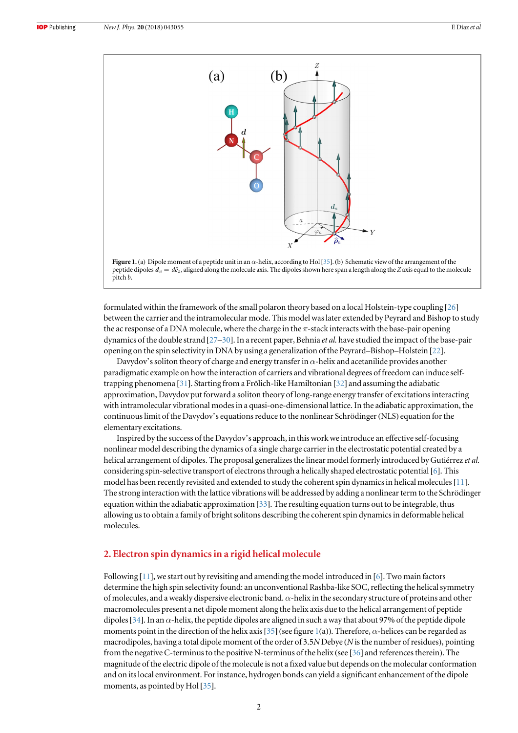<span id="page-1-0"></span>

formulated within the framework of the small polaron theory based on a local Holstein-type coupling [[26](#page-7-0)] between the carrier and the intramolecular mode. This model was later extended by Peyrard and Bishop to study the ac response of a DNA molecule, where the charge in the  $\pi$ -stack interacts with the base-pair opening dynamics of the double strand [[27](#page-7-0)–[30](#page-7-0)]. In a recent paper, Behnia et al. have studied the impact of the base-pair opening on the spin selectivity in DNA by using a generalization of the Peyrard–Bishop–Holstein [[22](#page-7-0)].

Davydov's soliton theory of charge and energy transfer in  $\alpha$ -helix and acetanilide provides another paradigmatic example on how the interaction of carriers and vibrational degrees of freedom can induce selftrapping phenomena [[31](#page-7-0)]. Starting from a Frölich-like Hamiltonian [[32](#page-7-0)] and assuming the adiabatic approximation, Davydov put forward a soliton theory of long-range energy transfer of excitations interacting with intramolecular vibrational modes in a quasi-one-dimensional lattice. In the adiabatic approximation, the continuous limit of the Davydov's equations reduce to the nonlinear Schrödinger(NLS) equation for the elementary excitations.

Inspired by the success of the Davydov's approach, in this work we introduce an effective self-focusing nonlinear model describing the dynamics of a single charge carrier in the electrostatic potential created by a helical arrangement of dipoles. The proposal generalizes the linear model formerly introduced by Gutiérrez et al. considering spin-selective transport of electrons through a helically shaped electrostatic potential [[6](#page-7-0)]. This model has been recently revisited and extended to study the coherent spin dynamics in helical molecules[[11](#page-7-0)]. The strong interaction with the lattice vibrations will be addressed by adding a nonlinear term to the Schrödinger equation within the adiabatic approximation [[33](#page-7-0)]. The resulting equation turns out to be integrable, thus allowing us to obtain a family of bright solitons describing the coherent spin dynamics in deformable helical molecules.

# 2. Electron spin dynamics in a rigid helical molecule

Following [[11](#page-7-0)], we start out by revisiting and amending the model introduced in [[6](#page-7-0)]. Two main factors determine the high spin selectivity found: an unconventional Rashba-like SOC, reflecting the helical symmetry of molecules, and a weakly dispersive electronic band.  $\alpha$ -helix in the secondary structure of proteins and other macromolecules present a net dipole moment along the helix axis due to the helical arrangement of peptide dipoles [[34](#page-7-0)]. In an  $\alpha$ -helix, the peptide dipoles are aligned in such a way that about 97% of the peptide dipole moments point in the direction of the helix axis [[35](#page-7-0)] (see figure 1(a)). Therefore, α-helices can be regarded as macrodipoles, having a total dipole moment of the order of 3.5N Debye (N is the number of residues), pointing from the negative C-terminus to the positive N-terminus of the helix (see [[36](#page-7-0)] and references therein). The magnitude of the electric dipole of the molecule is not a fixed value but depends on the molecular conformation and on its local environment. For instance, hydrogen bonds can yield a significant enhancement of the dipole moments, as pointed by Hol<sup>[[35](#page-7-0)]</sup>.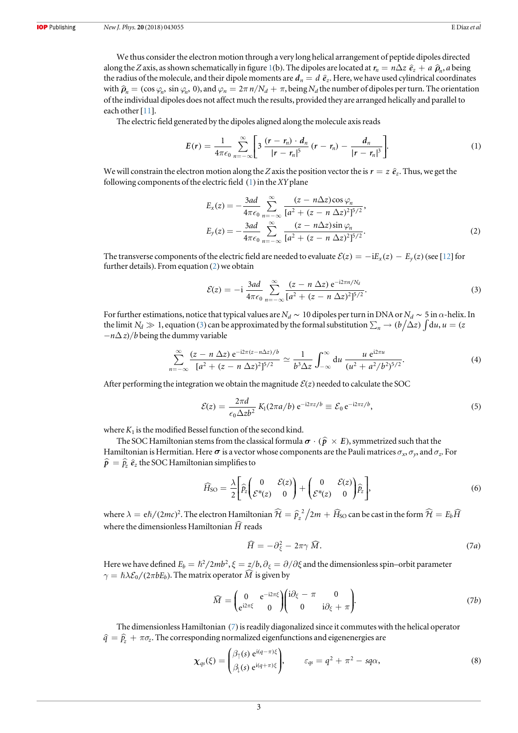<span id="page-2-0"></span>We thus consider the electron motion through a very long helical arrangement of peptide dipoles directed along the Z axis, as shown schematically in figure [1](#page-1-0)(b). The dipoles are located at  $r_n = n\Delta z \hat{e}_z + a \hat{\rho}_n$ , a being the radius of the molecule, and their dipole moments are  $d_n = d \hat{e}_z$ . Here, we have used cylindrical coordinates with  $\hat{\rho}_n = (\cos \varphi_n, \sin \varphi_n, 0)$ , and  $\varphi_n = 2\pi n/N_d + \pi$ , being  $N_d$  the number of dipoles per turn. The orientation of the individual dipoles does not affect much the results, provided they are arranged helically and parallel to each other<sup>[[11](#page-7-0)]</sup>.

The electric field generated by the dipoles aligned along the molecule axis reads

$$
E(r) = \frac{1}{4\pi\epsilon_0} \sum_{n=-\infty}^{\infty} \left[ 3 \frac{(r - r_n) \cdot d_n}{|r - r_n|^5} (r - r_n) - \frac{d_n}{|r - r_n|^3} \right].
$$
 (1)

We will constrain the electron motion along the Z axis the position vector the is  $r = z \hat{e}_z$ . Thus, we get the following components of the electric field (1) in the XY plane

$$
E_x(z) = -\frac{3ad}{4\pi\epsilon_0} \sum_{n=-\infty}^{\infty} \frac{(z - n\Delta z)\cos\varphi_n}{[a^2 + (z - n\Delta z)^2]^{5/2}},
$$
  
\n
$$
E_y(z) = -\frac{3ad}{4\pi\epsilon_0} \sum_{n=-\infty}^{\infty} \frac{(z - n\Delta z)\sin\varphi_n}{[a^2 + (z - n\Delta z)^2]^{5/2}}.
$$
\n(2)

The transverse components of the electric field are needed to evaluate  $\mathcal{E}(z) = -i E_x(z) - E_y(z)$  (see [[12](#page-7-0)] for further details). From equation  $(2)$  we obtain

$$
\mathcal{E}(z) = -i \frac{3ad}{4\pi\epsilon_0} \sum_{n=-\infty}^{\infty} \frac{(z - n \Delta z) e^{-i2\pi n/N_d}}{[a^2 + (z - n \Delta z)^2]^{5/2}}.
$$
 (3)

For further estimations, notice that typical values are  $N_d \sim 10$  dipoles per turn in DNA or  $N_d \sim 5$  in  $\alpha$ -helix. In the limit *N<sub>d</sub>*  $\gg 1$ , equation (3) can be approximated by the formal substitution  $\sum_n \to (b/\Delta z)$   $\int du$ ,  $u = (z, z)$  $-n\Delta z$ )/*b* being the dummy variable

$$
\sum_{n=-\infty}^{\infty} \frac{(z - n \Delta z) e^{-i2\pi(z - n\Delta z)/b}}{[a^2 + (z - n \Delta z)^2]^{5/2}} \simeq \frac{1}{b^3 \Delta z} \int_{-\infty}^{\infty} du \, \frac{u e^{i2\pi u}}{(u^2 + a^2/b^2)^{5/2}}.
$$
(4)

After performing the integration we obtain the magnitude  $\mathcal{E}(z)$  needed to calculate the SOC

$$
\mathcal{E}(z) = \frac{2\pi d}{\epsilon_0 \Delta z b^2} K_1(2\pi a/b) e^{-i2\pi z/b} \equiv \mathcal{E}_0 e^{-i2\pi z/b}, \tag{5}
$$

where  $K_1$  is the modified Bessel function of the second kind.

The SOC Hamiltonian stems from the classical formula  $\sigma \cdot (\hat{p} \times E)$ , symmetrized such that the Hamiltonian is Hermitian. Here  $\sigma$  is a vector whose components are the Pauli matrices  $\sigma_x$ ,  $\sigma_y$ , and  $\sigma_z$ . For  $\widehat{p} = \widehat{p}_z \widehat{e}_z$  the SOC Hamiltonian simplifies to

$$
\widehat{H}_{\text{SO}} = \frac{\lambda}{2} \left[ \widehat{p}_z \begin{pmatrix} 0 & \mathcal{E}(z) \\ \mathcal{E}^*(z) & 0 \end{pmatrix} + \begin{pmatrix} 0 & \mathcal{E}(z) \\ \mathcal{E}^*(z) & 0 \end{pmatrix} \widehat{p}_z \right],\tag{6}
$$

where  $\lambda = e\hbar/(2mc)^2$ . The electron Hamiltonian  $\widehat{\cal H} = \widehat{p}_z^{\;2}\big/2m + \widehat{H}_{\rm SO}$  can be cast in the form  $\widehat{\cal H} = E_b\widehat{H}$ where the dimensionless Hamiltonian  $\widehat{H}$  reads

$$
\widehat{H} = -\partial_{\xi}^2 - 2\pi\gamma \widehat{M}.
$$
\n(7a)

Here we have defined  $E_b = \hbar^2/2mb^2$ ,  $\xi = z/b$ ,  $\partial_{\xi} = \partial/\partial{\xi}$  and the dimensionless spin–orbit parameter  $\gamma = \hbar \lambda \mathcal{E}_0 / (2 \pi b E_b).$  The matrix operator  $\widehat{M}$  is given by

$$
\widehat{M} = \begin{pmatrix} 0 & e^{-i2\pi\xi} \\ e^{i2\pi\xi} & 0 \end{pmatrix} \begin{pmatrix} i\partial_{\xi} - \pi & 0 \\ 0 & i\partial_{\xi} + \pi \end{pmatrix}.
$$
 (7b)

The dimensionless Hamiltonian (7) is readily diagonalized since it commutes with the helical operator  $\widehat{q} = \widehat{p_z} + \pi \sigma_z.$  The corresponding normalized eigenfunctions and eigenenergies are

$$
\chi_{qs}(\xi) = \begin{pmatrix} \beta_{\uparrow}(s) e^{i(q-\pi)\xi} \\ \beta_{\downarrow}(s) e^{i(q+\pi)\xi} \end{pmatrix}, \qquad \varepsilon_{qs} = q^2 + \pi^2 - sq\alpha,
$$
\n(8)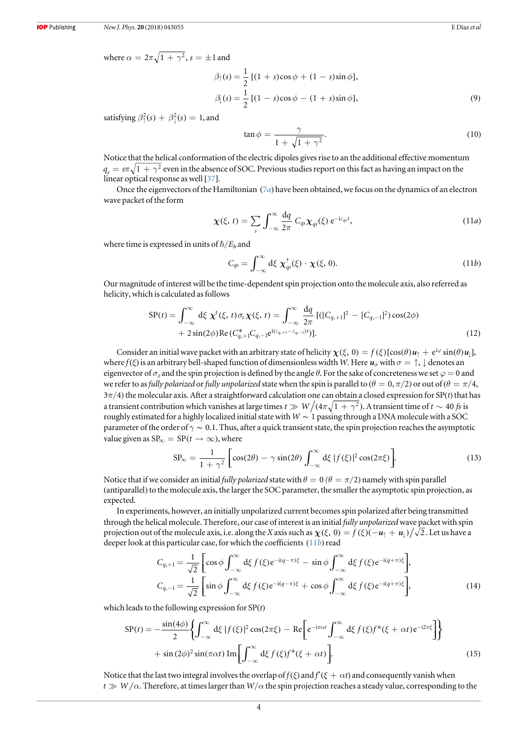<span id="page-3-0"></span>where  $\alpha = 2\pi \sqrt{1 + \gamma^2}$ ,  $s = \pm 1$  and

$$
\beta_{\uparrow}(s) = \frac{1}{2} [(1 + s)\cos\phi + (1 - s)\sin\phi],
$$
  
\n
$$
\beta_{\downarrow}(s) = \frac{1}{2} [(1 - s)\cos\phi - (1 + s)\sin\phi],
$$
\n(9)

satisfying  $\beta_1^2(s) + \beta_1^2(s) = 1$ , and

$$
\tan \phi = \frac{\gamma}{1 + \sqrt{1 + \gamma^2}}.\tag{10}
$$

Notice that the helical conformation of the electric dipoles gives rise to an the additional effective momentum  $q_{s} = s\pi\sqrt{1 + \gamma^{2}}$  even in the absence of SOC. Previous studies report on this fact as having an impact on the linear optical response as well [[37](#page-7-0)].

Once the eigenvectors of the Hamiltonian ([7](#page-2-0)*a*) have been obtained, we focus on the dynamics of an electron wave packet of the form

$$
\chi(\xi, t) = \sum_{s} \int_{-\infty}^{\infty} \frac{dq}{2\pi} C_{qs} \chi_{qs}(\xi) e^{-i\varepsilon_{qs}t}, \qquad (11a)
$$

where time is expressed in units of  $\hbar/E_h$  and

$$
C_{qs} = \int_{-\infty}^{\infty} d\xi \,\chi_{qs}^{\dagger}(\xi) \cdot \chi(\xi, 0). \tag{11b}
$$

Our magnitude of interest will be the time-dependent spin projection onto the molecule axis, also referred as helicity, which is calculated as follows

$$
SP(t) = \int_{-\infty}^{\infty} d\xi \, \chi^{\dagger}(\xi, t) \sigma_z \chi(\xi, t) = \int_{-\infty}^{\infty} \frac{dq}{2\pi} \left[ (|C_{q,+1}|^2 - |C_{q,-1}|^2) \cos(2\phi) + 2 \sin(2\phi) \text{Re}(C_{q,+1}^* C_{q,-1} e^{i(\varepsilon_{q,+1} - \varepsilon_{q,-1})t}) \right].
$$
\n(12)

Consider an initial wave packet with an arbitrary state of helicity  $\chi(\xi, 0) = f(\xi) [\cos(\theta) u_{\uparrow} + e^{i\varphi} \sin(\theta) u_{\downarrow}],$ where  $f(\xi)$  is an arbitrary bell-shaped function of dimensionless width W. Here  $u_\sigma$  with  $\sigma = \uparrow$ ,  $\downarrow$  denotes an eigenvector of  $\sigma_z$  and the spin projection is defined by the angle  $\theta$ . For the sake of concreteness we set  $\varphi = 0$  and we refer to as fully polarized or fully unpolarized state when the spin is parallel to ( $\theta = 0, \pi/2$ ) or out of ( $\theta = \pi/4$ ,  $3\pi/4$ ) the molecular axis. After a straightforward calculation one can obtain a closed expression for SP(t) that has a transient contribution which vanishes at large times  $t \gg W/(4\pi\sqrt{1+\gamma^2})$ . A transient time of  $t \sim 40$  fs is roughly estimated for a highly localized initial state with  $W \sim 1$  passing through a DNA molecule with a SOC parameter of the order of  $\gamma \sim 0.1$ . Thus, after a quick transient state, the spin projection reaches the asymptotic value given as  $SP_\infty = SP(t \to \infty)$ , where

$$
SP_{\infty} = \frac{1}{1+\gamma^2} \left[ \cos(2\theta) - \gamma \sin(2\theta) \int_{-\infty}^{\infty} d\xi |f(\xi)|^2 \cos(2\pi\xi) \right].
$$
 (13)

Notice that if we consider an initial fully polarized state with  $\theta = 0$  ( $\theta = \pi/2$ ) namely with spin parallel (antiparallel) to the molecule axis, the larger the SOC parameter, the smaller the asymptotic spin projection, as expected.

In experiments, however, an initially unpolarized current becomes spin polarized after being transmitted through the helical molecule. Therefore, our case of interest is an initial fully unpolarized wave packet with spin projection out of the molecule axis, i.e. along the X axis such as  $\chi(\xi, 0) = f(\xi)(-\mu_1 + \mu_1)/\sqrt{2}$ . Let us have a deeper look at this particular case, for which the coefficients  $(11b)$  read

$$
C_{q,+1} = \frac{1}{\sqrt{2}} \left[ \cos \phi \int_{-\infty}^{\infty} d\xi f(\xi) e^{-i(q-\pi)\xi} - \sin \phi \int_{-\infty}^{\infty} d\xi f(\xi) e^{-i(q+\pi)\xi} \right],
$$
  
\n
$$
C_{q,-1} = \frac{1}{\sqrt{2}} \left[ \sin \phi \int_{-\infty}^{\infty} d\xi f(\xi) e^{-i(q-\pi)\xi} + \cos \phi \int_{-\infty}^{\infty} d\xi f(\xi) e^{-i(q+\pi)\xi} \right],
$$
\n(14)

which leads to the following expression for  $SP(t)$ 

$$
SP(t) = -\frac{\sin(4\phi)}{2} \left\{ \int_{-\infty}^{\infty} d\xi |f(\xi)|^2 \cos(2\pi\xi) - \text{Re}\left[e^{-i\pi\alpha t} \int_{-\infty}^{\infty} d\xi f(\xi) f^*(\xi + \alpha t) e^{-i2\pi\xi} \right] \right\} + \sin(2\phi)^2 \sin(\pi\alpha t) \text{Im}\left[ \int_{-\infty}^{\infty} d\xi f(\xi) f^*(\xi + \alpha t) \right].
$$
 (15)

Notice that the last two integral involves the overlap of  $f(\xi)$  and  $f^*(\xi + \alpha t)$  and consequently vanish when  $t \gg W/\alpha$ . Therefore, at times larger than  $W/\alpha$  the spin projection reaches a steady value, corresponding to the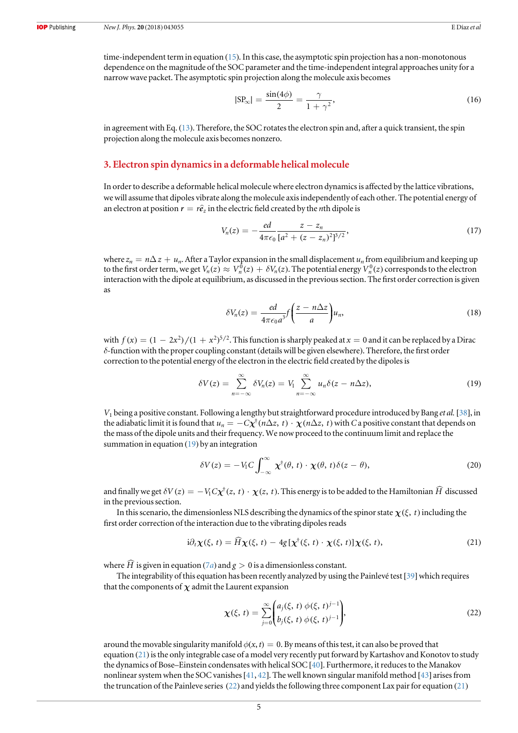<span id="page-4-0"></span>time-independent term in equation ([15](#page-3-0)). In this case, the asymptotic spin projection has a non-monotonous dependence on the magnitude of the SOC parameter and the time-independent integral approaches unity for a narrow wave packet. The asymptotic spin projection along the molecule axis becomes

$$
|\text{SP}_{\infty}| = \frac{\sin(4\phi)}{2} = \frac{\gamma}{1 + \gamma^2},\tag{16}
$$

in agreement with Eq. ([13](#page-3-0)). Therefore, the SOC rotates the electron spin and, after a quick transient, the spin projection along the molecule axis becomes nonzero.

#### 3. Electron spin dynamics in a deformable helical molecule

In order to describe a deformable helical molecule where electron dynamics is affected by the lattice vibrations, we will assume that dipoles vibrate along the molecule axis independently of each other. The potential energy of an electron at position  $r = r\hat{e}_z$  in the electric field created by the *n*th dipole is

$$
V_n(z) = -\frac{ed}{4\pi\epsilon_0} \frac{z - z_n}{[a^2 + (z - z_n)^2]^{3/2}},
$$
\n(17)

where  $z_n = n\Delta z + u_n$ . After a Taylor expansion in the small displacement  $u_n$  from equilibrium and keeping up to the first order term, we get  $V_n(z) \approx V_n^0(z) + \delta V_n(z)$ . The potential energy  $V_n^0(z)$  corresponds to the electron interaction with the dipole at equilibrium, as discussed in the previous section. The first order correction is given as

$$
\delta V_n(z) = \frac{ed}{4\pi\epsilon_0 a^3} f\left(\frac{z - n\Delta z}{a}\right) u_n,\tag{18}
$$

with  $f(x) = (1 - 2x^2)/(1 + x^2)^{5/2}$ . This function is sharply peaked at  $x = 0$  and it can be replaced by a Dirac δ-function with the proper coupling constant (details will be given elsewhere). Therefore, the first order correction to the potential energy of the electron in the electric field created by the dipoles is

$$
\delta V(z) = \sum_{n = -\infty}^{\infty} \delta V_n(z) = V_1 \sum_{n = -\infty}^{\infty} u_n \delta(z - n\Delta z), \tag{19}
$$

 $V_1$  being a positive constant. Following a lengthy but straightforward procedure introduced by Bang et al. [[38](#page-7-0)], in the adiabatic limit it is found that  $u_n = -C \chi^{\dagger} (n \Delta z, t) \cdot \chi (n \Delta z, t)$  with C a positive constant that depends on the mass of the dipole units and their frequency. We now proceed to the continuum limit and replace the summation in equation  $(19)$  by an integration

$$
\delta V(z) = -V_1 C \int_{-\infty}^{\infty} \chi^{\dagger}(\theta, t) \cdot \chi(\theta, t) \delta(z - \theta), \qquad (20)
$$

and finally we get  $\delta V(z)=-V_1C\chi^\dagger(z,\,t)\cdot\chi(z,\,t).$  This energy is to be added to the Hamiltonian  $\widehat{H}$  discussed in the previous section.

In this scenario, the dimensionless NLS describing the dynamics of the spinor state  $\chi(\xi, t)$  including the first order correction of the interaction due to the vibrating dipoles reads

$$
i\partial_t \chi(\xi, t) = \widehat{H}\chi(\xi, t) - 4g[\chi^{\dagger}(\xi, t) \cdot \chi(\xi, t)]\chi(\xi, t), \tag{21}
$$

where  $\widehat{H}$  is given in equation ([7](#page-2-0)*a*) and  $g>0$  is a dimensionless constant.

The integrability of this equation has been recently analyzed by using the Painlevé test [[39](#page-7-0)] which requires that the components of  $\chi$  admit the Laurent expansion

$$
\chi(\xi, t) = \sum_{j=0}^{\infty} \begin{pmatrix} a_j(\xi, t) \, \phi(\xi, t)^{j-1} \\ b_j(\xi, t) \, \phi(\xi, t)^{j-1} \end{pmatrix},\tag{22}
$$

around the movable singularity manifold  $\phi(x, t) = 0$ . By means of this test, it can also be proved that equation (21) is the only integrable case of a model very recently put forward by Kartashov and Konotov to study the dynamics of Bose–Einstein condensates with helical SOC[[40](#page-7-0)]. Furthermore, it reduces to the Manakov nonlinear system when the SOC vanishes[[41](#page-7-0), [42](#page-7-0)]. The well known singular manifold method [[43](#page-7-0)] arises from the truncation of the Painleve series (22) and yields the following three component Lax pair for equation (21)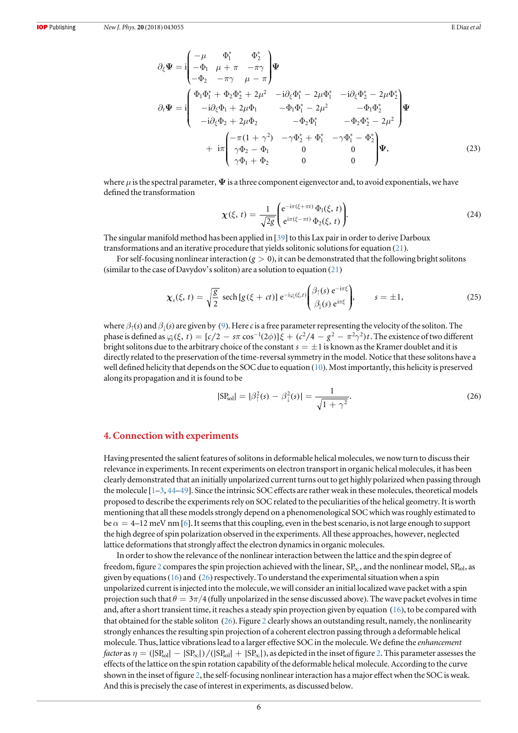$$
\partial_{\xi} \Psi = i \begin{pmatrix}\n-\mu & \Phi_{1}^{*} & \Phi_{2}^{*} \\
-\Phi_{1} & \mu + \pi & -\pi\gamma \\
-\Phi_{2} & -\pi\gamma & \mu - \pi\n\end{pmatrix} \Psi
$$
\n
$$
\partial_{t} \Psi = i \begin{pmatrix}\n\Phi_{1} \Phi_{1}^{*} + \Phi_{2} \Phi_{2}^{*} + 2\mu^{2} & -i \partial_{\xi} \Phi_{1}^{*} - 2\mu \Phi_{1}^{*} & -i \partial_{\xi} \Phi_{2}^{*} - 2\mu \Phi_{2}^{*} \\
-i \partial_{\xi} \Phi_{1} + 2\mu \Phi_{1} & -\Phi_{1} \Phi_{1}^{*} - 2\mu^{2} & -\Phi_{1} \Phi_{2}^{*} \\
-i \partial_{\xi} \Phi_{2} + 2\mu \Phi_{2} & -\Phi_{2} \Phi_{1}^{*} & -\Phi_{2} \Phi_{2}^{*} - 2\mu^{2}\n\end{pmatrix} \Psi
$$
\n
$$
+ i \pi \begin{pmatrix}\n-\pi (1 + \gamma^{2}) & -\gamma \Phi_{2}^{*} + \Phi_{1}^{*} & -\gamma \Phi_{1}^{*} - \Phi_{2}^{*} \\
\gamma \Phi_{2} - \Phi_{1} & 0 & 0 \\
\gamma \Phi_{1} + \Phi_{2} & 0 & 0\n\end{pmatrix} \Psi,
$$
\n(23)

where  $\mu$  is the spectral parameter,  $\Psi$  is a three component eigenvector and, to avoid exponentials, we have defined the transformation

$$
\chi(\xi, t) = \frac{1}{\sqrt{2g}} \begin{pmatrix} e^{-i\pi(\xi + \pi t)} \Phi_1(\xi, t) \\ e^{i\pi(\xi - \pi t)} \Phi_2(\xi, t) \end{pmatrix} . \tag{24}
$$

The singular manifold method has been applied in [[39](#page-7-0)] to this Lax pair in order to derive Darboux transformations and an iterative procedure that yields solitonic solutions for equation ([21](#page-4-0)).

For self-focusing nonlinear interaction ( $g > 0$ ), it can be demonstrated that the following bright solitons (similar to the case of Davydov's soliton) are a solution to equation  $(21)$  $(21)$  $(21)$ 

$$
\chi_s(\xi, t) = \sqrt{\frac{g}{2}} \operatorname{sech}\left[g(\xi + ct)\right] e^{-i\varphi_s(\xi, t)} \begin{pmatrix} \beta_\uparrow(s) e^{-i\pi\xi} \\ \beta_\downarrow(s) e^{i\pi\xi} \end{pmatrix}, \qquad s = \pm 1,
$$
\n(25)

where  $\beta_1(s)$  and  $\beta_1(s)$  are given by ([9](#page-3-0)). Here c is a free parameter representing the velocity of the soliton. The phase is defined as  $\varphi_s(\xi, t) = [c/2 - s\pi \cos^{-1}(2\phi)]\xi + (c^2/4 - g^2 - \pi^2\gamma^2)t$ . The existence of two different bright solitons due to the arbitrary choice of the constant  $s = \pm 1$  is known as the Kramer doublet and it is directly related to the preservation of the time-reversal symmetry in the model. Notice that these solitons have a well defined helicity that depends on the SOC due to equation ([10](#page-3-0)). Most importantly, this helicity is preserved along its propagation and it is found to be

$$
|SP_{sol}| = |\beta_{\uparrow}^{2}(s) - \beta_{\downarrow}^{2}(s)| = \frac{1}{\sqrt{1 + \gamma^{2}}}.
$$
 (26)

### 4. Connection with experiments

Having presented the salient features of solitons in deformable helical molecules, we now turn to discuss their relevance in experiments. In recent experiments on electron transport in organic helical molecules, it has been clearly demonstrated that an initially unpolarized current turns out to get highly polarized when passing through the molecule  $[1-3, 44-49]$  $[1-3, 44-49]$  $[1-3, 44-49]$  $[1-3, 44-49]$  $[1-3, 44-49]$  $[1-3, 44-49]$  $[1-3, 44-49]$  $[1-3, 44-49]$  $[1-3, 44-49]$ . Since the intrinsic SOC effects are rather weak in these molecules, theoretical models proposed to describe the experiments rely on SOC related to the peculiarities of the helical geometry. It is worth mentioning that all these models strongly depend on a phenomenological SOC which was roughly estimated to  $be \alpha = 4-12$  meV nm [[6](#page-7-0)]. It seems that this coupling, even in the best scenario, is not large enough to support the high degree of spin polarization observed in the experiments. All these approaches, however, neglected lattice deformations that strongly affect the electron dynamics in organic molecules.

In order to show the relevance of the nonlinear interaction between the lattice and the spin degree of freedom, figure [2](#page-6-0) compares the spin projection achieved with the linear,  $SP_\infty$ , and the nonlinear model,  $SP_{sol}$ , as given by equations  $(16)$  $(16)$  $(16)$  and  $(26)$  respectively. To understand the experimental situation when a spin unpolarized current is injected into the molecule, we will consider an initial localized wave packet with a spin projection such that  $\theta = 3\pi/4$  (fully unpolarized in the sense discussed above). The wave packet evolves in time and, after a short transient time, it reaches a steady spin proyection given by equation ([16](#page-4-0)), to be compared with that obtained for the stable soliton ([2](#page-6-0)6). Figure 2 clearly shows an outstanding result, namely, the nonlinearity strongly enhances the resulting spin projection of a coherent electron passing through a deformable helical molecule. Thus, lattice vibrations lead to a larger effective SOC in the molecule. We define the enhancement  $factor$  as  $\eta = (|SP_{\text{sol}}| - |SP_{\text{col}}|)/(|SP_{\text{sol}}| + |SP_{\text{col}}|)$ , as depicted in the inset of figure [2](#page-6-0). This parameter assesses the effects of the lattice on the spin rotation capability of the deformable helical molecule. According to the curve shown in the inset of figure [2,](#page-6-0) the self-focusing nonlinear interaction has a major effect when the SOC is weak. And this is precisely the case of interest in experiments, as discussed below.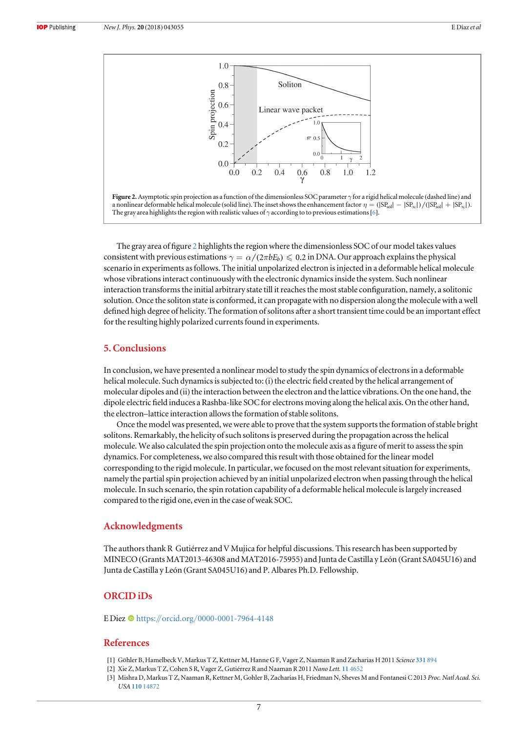<span id="page-6-0"></span>



The gray area of figure 2 highlights the region where the dimensionless SOC of our model takes values consistent with previous estimations  $\gamma = \alpha/(2\pi b E_b) \leq 0.2$  in DNA. Our approach explains the physical scenario in experiments as follows. The initial unpolarized electron is injected in a deformable helical molecule whose vibrations interact continuously with the electronic dynamics inside the system. Such nonlinear interaction transforms the initial arbitrary state till it reaches the most stable configuration, namely, a solitonic solution. Once the soliton state is conformed, it can propagate with no dispersion along the molecule with a well defined high degree of helicity. The formation of solitons after a short transient time could be an important effect for the resulting highly polarized currents found in experiments.

# 5. Conclusions

In conclusion, we have presented a nonlinear model to study the spin dynamics of electrons in a deformable helical molecule. Such dynamics is subjected to: (i) the electric field created by the helical arrangement of molecular dipoles and (ii) the interaction between the electron and the lattice vibrations. On the one hand, the dipole electric field induces a Rashba-like SOC for electrons moving along the helical axis. On the other hand, the electron–lattice interaction allows the formation of stable solitons.

Once the model was presented, we were able to prove that the system supports the formation of stable bright solitons. Remarkably, the helicity of such solitons is preserved during the propagation across the helical molecule. We also calculated the spin projection onto the molecule axis as a figure of merit to assess the spin dynamics. For completeness, we also compared this result with those obtained for the linear model corresponding to the rigid molecule. In particular, we focused on the most relevant situation for experiments, namely the partial spin projection achieved by an initial unpolarized electron when passing through the helical molecule. In such scenario, the spin rotation capability of a deformable helical molecule is largely increased compared to the rigid one, even in the case of weak SOC.

#### Acknowledgments

The authors thank R Gutiérrez and V Mujica for helpful discussions. This research has been supported by MINECO (Grants MAT2013-46308 and MAT2016-75955) and Junta de Castilla y León (Grant SA045U16) and Junta de Castilla y León (Grant SA045U16) and P. Albares Ph.D. Fellowship.

# ORCID iDs

E Die[z](https://orcid.org/0000-0001-7964-4148) ® [https:](https://orcid.org/0000-0001-7964-4148)//orcid.org/[0000-0001-7964-4148](https://orcid.org/0000-0001-7964-4148)

# References

- [1] Göhler B, Hamelbeck V, Markus T Z, Kettner M, Hanne G F, Vager Z, Naaman R and Zacharias H 2011 Science [331](https://doi.org/10.1126/science.1199339) 894
- [2] Xie Z, Markus T Z, Cohen S R, Vager Z, Gutiérrez R and Naaman R 2011 Nano Lett. 11 [4652](https://doi.org/10.1021/nl2021637)
- [3] Mishra D, Markus T Z, Naaman R, Kettner M, Gohler B, Zacharias H, Friedman N, Sheves M and Fontanesi C 2013 Proc. Natl Acad. Sci. USA 110 [14872](https://doi.org/10.1073/pnas.1311493110)